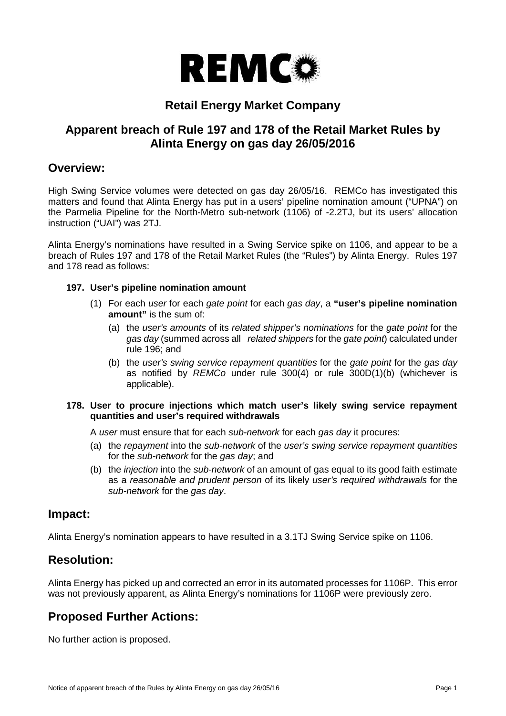

# **Retail Energy Market Company**

# **Apparent breach of Rule 197 and 178 of the Retail Market Rules by Alinta Energy on gas day 26/05/2016**

## **Overview:**

High Swing Service volumes were detected on gas day 26/05/16. REMCo has investigated this matters and found that Alinta Energy has put in a users' pipeline nomination amount ("UPNA") on the Parmelia Pipeline for the North-Metro sub-network (1106) of -2.2TJ, but its users' allocation instruction ("UAI") was 2TJ.

Alinta Energy's nominations have resulted in a Swing Service spike on 1106, and appear to be a breach of Rules 197 and 178 of the Retail Market Rules (the "Rules") by Alinta Energy. Rules 197 and 178 read as follows:

#### **197. User's pipeline nomination amount**

- (1) For each *user* for each *gate point* for each *gas day*, a **"user's pipeline nomination amount"** is the sum of:
	- (a) the *user's amounts* of its *related shipper's nominations* for the *gate point* for the *gas day* (summed across all *related shippers* for the *gate point*) calculated under rule 196; and
	- (b) the *user's swing service repayment quantities* for the *gate point* for the *gas day* as notified by *REMCo* under rule 300(4) or rule 300D(1)(b) (whichever is applicable).

#### **178. User to procure injections which match user's likely swing service repayment quantities and user's required withdrawals**

A *user* must ensure that for each *sub-network* for each *gas day* it procures:

- (a) the *repayment* into the *sub-network* of the *user's swing service repayment quantities* for the *sub-network* for the *gas day*; and
- (b) the *injection* into the *sub-network* of an amount of gas equal to its good faith estimate as a *reasonable and prudent person* of its likely *user's required withdrawals* for the *sub-network* for the *gas day*.

## **Impact:**

Alinta Energy's nomination appears to have resulted in a 3.1TJ Swing Service spike on 1106.

## **Resolution:**

Alinta Energy has picked up and corrected an error in its automated processes for 1106P. This error was not previously apparent, as Alinta Energy's nominations for 1106P were previously zero.

# **Proposed Further Actions:**

No further action is proposed.